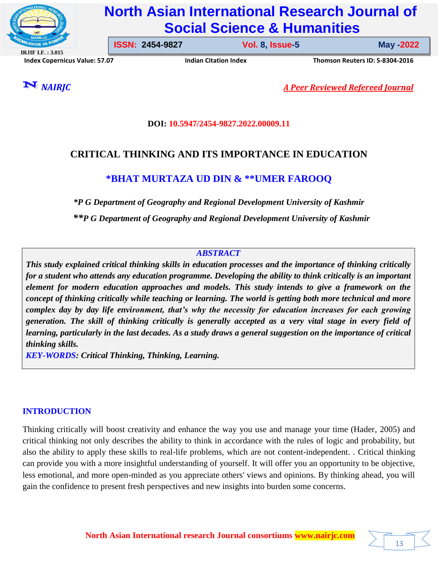

# **North Asian International Research Journal of Social Science & Humanities**

**IRJIF I.F. : 3.015 Index Copernicus Value: 57.07****Indian Citation Index****Thomson Reuters ID: S-8304-2016** 

**ISSN: 2454-9827 Vol. 8, Issue-5** 

**Issue-5 May -2022**

*NAIRJC A Peer Reviewed Refereed Journal*

## **DOI: 10.5947/2454-9827.2022.00009.11**

# **CRITICAL THINKING AND ITS IMPORTANCE IN EDUCATION**

# **\*BHAT MURTAZA UD DIN & \*\*UMER FAROOQ**

*\*P G Department of Geography and Regional Development University of Kashmir \*\*P G Department of Geography and Regional Development University of Kashmir*

# *ABSTRACT*

*This study explained critical thinking skills in education processes and the importance of thinking critically for a student who attends any education programme. Developing the ability to think critically is an important element for modern education approaches and models. This study intends to give a framework on the concept of thinking critically while teaching or learning. The world is getting both more technical and more complex day by day life environment, that's why the necessity for education increases for each growing generation. The skill of thinking critically is generally accepted as a very vital stage in every field of learning, particularly in the last decades. As a study draws a general suggestion on the importance of critical thinking skills.*

*KEY-WORDS: Critical Thinking, Thinking, Learning.*

# **INTRODUCTION**

Thinking critically will boost creativity and enhance the way you use and manage your time (Hader, 2005) and critical thinking not only describes the ability to think in accordance with the rules of logic and probability, but also the ability to apply these skills to real-life problems, which are not content-independent. . Critical thinking can provide you with a more insightful understanding of yourself. It will offer you an opportunity to be objective, less emotional, and more open-minded as you appreciate others' views and opinions. By thinking ahead, you will gain the confidence to present fresh perspectives and new insights into burden some concerns.

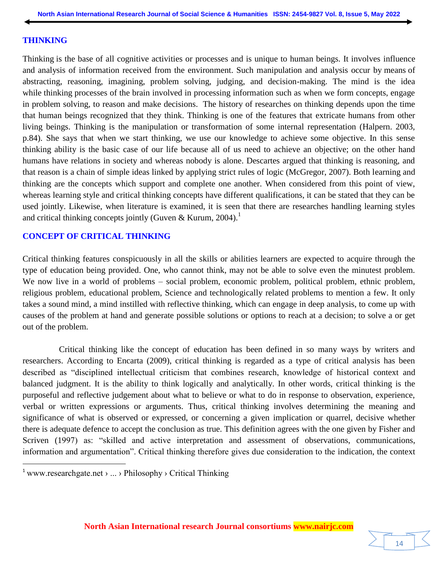#### **THINKING**

Thinking is the base of all cognitive activities or processes and is unique to human beings. It involves influence and analysis of information received from the environment. Such manipulation and analysis occur by means of abstracting, reasoning, imagining, problem solving, judging, and decision-making. The mind is the idea while thinking processes of the brain involved in processing information such as when we form concepts, engage in problem solving, to reason and make decisions. The history of researches on thinking depends upon the time that human beings recognized that they think. Thinking is one of the features that extricate humans from other living beings. Thinking is the manipulation or transformation of some internal representation (Halpern. 2003, p.84). She says that when we start thinking, we use our knowledge to achieve some objective. In this sense thinking ability is the basic case of our life because all of us need to achieve an objective; on the other hand humans have relations in society and whereas nobody is alone. Descartes argued that thinking is reasoning, and that reason is a chain of simple ideas linked by applying strict rules of logic (McGregor, 2007). Both learning and thinking are the concepts which support and complete one another. When considered from this point of view, whereas learning style and critical thinking concepts have different qualifications, it can be stated that they can be used jointly. Likewise, when literature is examined, it is seen that there are researches handling learning styles and critical thinking concepts jointly (Guven & Kurum, 2004).<sup>1</sup>

## **CONCEPT OF CRITICAL THINKING**

Critical thinking features conspicuously in all the skills or abilities learners are expected to acquire through the type of education being provided. One, who cannot think, may not be able to solve even the minutest problem. We now live in a world of problems – social problem, economic problem, political problem, ethnic problem, religious problem, educational problem, Science and technologically related problems to mention a few. It only takes a sound mind, a mind instilled with reflective thinking, which can engage in deep analysis, to come up with causes of the problem at hand and generate possible solutions or options to reach at a decision; to solve a or get out of the problem.

 Critical thinking like the concept of education has been defined in so many ways by writers and researchers. According to Encarta (2009), critical thinking is regarded as a type of critical analysis has been described as "disciplined intellectual criticism that combines research, knowledge of historical context and balanced judgment. It is the ability to think logically and analytically. In other words, critical thinking is the purposeful and reflective judgement about what to believe or what to do in response to observation, experience, verbal or written expressions or arguments. Thus, critical thinking involves determining the meaning and significance of what is observed or expressed, or concerning a given implication or quarrel, decisive whether there is adequate defence to accept the conclusion as true. This definition agrees with the one given by Fisher and Scriven (1997) as: "skilled and active interpretation and assessment of observations, communications, information and argumentation". Critical thinking therefore gives due consideration to the indication, the context

 $\overline{a}$ 

<sup>&</sup>lt;sup>1</sup> www.researchgate.net  $\rangle$  ...  $\rangle$  Philosophy  $\rangle$  Critical Thinking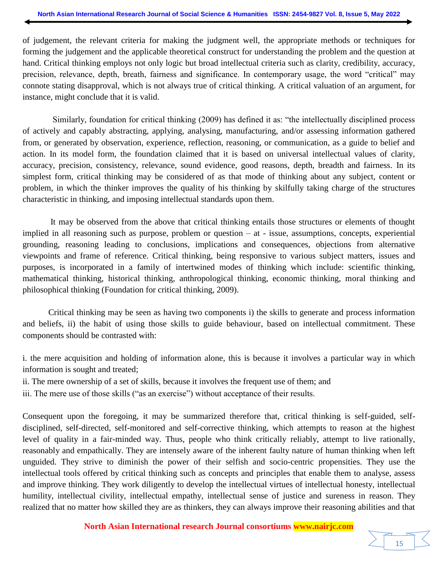of judgement, the relevant criteria for making the judgment well, the appropriate methods or techniques for forming the judgement and the applicable theoretical construct for understanding the problem and the question at hand. Critical thinking employs not only logic but broad intellectual criteria such as clarity, credibility, accuracy, precision, relevance, depth, breath, fairness and significance. In contemporary usage, the word "critical" may connote stating disapproval, which is not always true of critical thinking. A critical valuation of an argument, for instance, might conclude that it is valid.

 Similarly, foundation for critical thinking (2009) has defined it as: "the intellectually disciplined process of actively and capably abstracting, applying, analysing, manufacturing, and/or assessing information gathered from, or generated by observation, experience, reflection, reasoning, or communication, as a guide to belief and action. In its model form, the foundation claimed that it is based on universal intellectual values of clarity, accuracy, precision, consistency, relevance, sound evidence, good reasons, depth, breadth and fairness. In its simplest form, critical thinking may be considered of as that mode of thinking about any subject, content or problem, in which the thinker improves the quality of his thinking by skilfully taking charge of the structures characteristic in thinking, and imposing intellectual standards upon them.

 It may be observed from the above that critical thinking entails those structures or elements of thought implied in all reasoning such as purpose, problem or question – at - issue, assumptions, concepts, experiential grounding, reasoning leading to conclusions, implications and consequences, objections from alternative viewpoints and frame of reference. Critical thinking, being responsive to various subject matters, issues and purposes, is incorporated in a family of intertwined modes of thinking which include: scientific thinking, mathematical thinking, historical thinking, anthropological thinking, economic thinking, moral thinking and philosophical thinking (Foundation for critical thinking, 2009).

 Critical thinking may be seen as having two components i) the skills to generate and process information and beliefs, ii) the habit of using those skills to guide behaviour, based on intellectual commitment. These components should be contrasted with:

i. the mere acquisition and holding of information alone, this is because it involves a particular way in which information is sought and treated;

ii. The mere ownership of a set of skills, because it involves the frequent use of them; and

iii. The mere use of those skills ("as an exercise") without acceptance of their results.

Consequent upon the foregoing, it may be summarized therefore that, critical thinking is self-guided, selfdisciplined, self-directed, self-monitored and self-corrective thinking, which attempts to reason at the highest level of quality in a fair-minded way. Thus, people who think critically reliably, attempt to live rationally, reasonably and empathically. They are intensely aware of the inherent faulty nature of human thinking when left unguided. They strive to diminish the power of their selfish and socio-centric propensities. They use the intellectual tools offered by critical thinking such as concepts and principles that enable them to analyse, assess and improve thinking. They work diligently to develop the intellectual virtues of intellectual honesty, intellectual humility, intellectual civility, intellectual empathy, intellectual sense of justice and sureness in reason. They realized that no matter how skilled they are as thinkers, they can always improve their reasoning abilities and that

#### **North Asian International research Journal consortiums www.nairjc.com**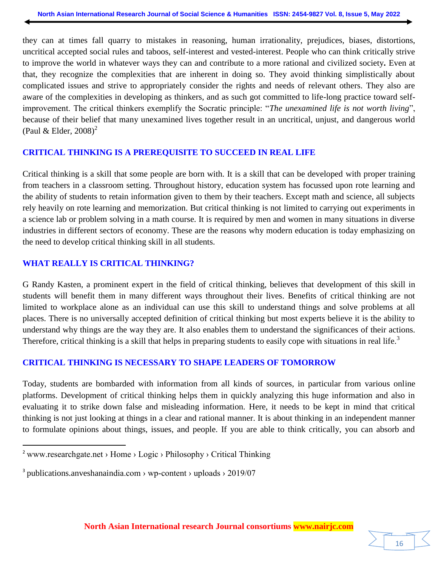they can at times fall quarry to mistakes in reasoning, human irrationality, prejudices, biases, distortions, uncritical accepted social rules and taboos, self-interest and vested-interest. People who can think critically strive to improve the world in whatever ways they can and contribute to a more rational and civilized society**.** Even at that, they recognize the complexities that are inherent in doing so. They avoid thinking simplistically about complicated issues and strive to appropriately consider the rights and needs of relevant others. They also are aware of the complexities in developing as thinkers, and as such got committed to life-long practice toward selfimprovement. The critical thinkers exemplify the Socratic principle: "*The unexamined life is not worth living*", because of their belief that many unexamined lives together result in an uncritical, unjust, and dangerous world (Paul & Elder,  $2008$ )<sup>2</sup>

#### **CRITICAL THINKING IS A PREREQUISITE TO SUCCEED IN REAL LIFE**

Critical thinking is a skill that some people are born with. It is a skill that can be developed with proper training from teachers in a classroom setting. Throughout history, education system has focussed upon rote learning and the ability of students to retain information given to them by their teachers. Except math and science, all subjects rely heavily on rote learning and memorization. But critical thinking is not limited to carrying out experiments in a science lab or problem solving in a math course. It is required by men and women in many situations in diverse industries in different sectors of economy. These are the reasons why modern education is today emphasizing on the need to develop critical thinking skill in all students.

# **WHAT REALLY IS CRITICAL THINKING?**

G Randy Kasten, a prominent expert in the field of critical thinking, believes that development of this skill in students will benefit them in many different ways throughout their lives. Benefits of critical thinking are not limited to workplace alone as an individual can use this skill to understand things and solve problems at all places. There is no universally accepted definition of critical thinking but most experts believe it is the ability to understand why things are the way they are. It also enables them to understand the significances of their actions. Therefore, critical thinking is a skill that helps in preparing students to easily cope with situations in real life.<sup>3</sup>

# **CRITICAL THINKING IS NECESSARY TO SHAPE LEADERS OF TOMORROW**

Today, students are bombarded with information from all kinds of sources, in particular from various online platforms. Development of critical thinking helps them in quickly analyzing this huge information and also in evaluating it to strike down false and misleading information. Here, it needs to be kept in mind that critical thinking is not just looking at things in a clear and rational manner. It is about thinking in an independent manner to formulate opinions about things, issues, and people. If you are able to think critically, you can absorb and

 $\overline{a}$ 



<sup>&</sup>lt;sup>2</sup> www.researchgate.net > Home > Logic > Philosophy > Critical Thinking

<sup>&</sup>lt;sup>3</sup> publications.anveshanaindia.com > wp-content > uploads > 2019/07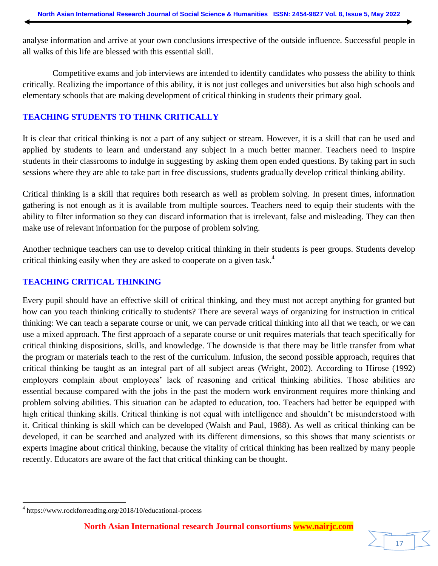analyse information and arrive at your own conclusions irrespective of the outside influence. Successful people in all walks of this life are blessed with this essential skill.

 Competitive exams and job interviews are intended to identify candidates who possess the ability to think critically. Realizing the importance of this ability, it is not just colleges and universities but also high schools and elementary schools that are making development of critical thinking in students their primary goal.

#### **TEACHING STUDENTS TO THINK CRITICALLY**

It is clear that critical thinking is not a part of any subject or stream. However, it is a skill that can be used and applied by students to learn and understand any subject in a much better manner. Teachers need to inspire students in their classrooms to indulge in suggesting by asking them open ended questions. By taking part in such sessions where they are able to take part in free discussions, students gradually develop critical thinking ability.

Critical thinking is a skill that requires both research as well as problem solving. In present times, information gathering is not enough as it is available from multiple sources. Teachers need to equip their students with the ability to filter information so they can discard information that is irrelevant, false and misleading. They can then make use of relevant information for the purpose of problem solving.

Another technique teachers can use to develop critical thinking in their students is peer groups. Students develop critical thinking easily when they are asked to cooperate on a given task.<sup>4</sup>

#### **TEACHING CRITICAL THINKING**

Every pupil should have an effective skill of critical thinking, and they must not accept anything for granted but how can you teach thinking critically to students? There are several ways of organizing for instruction in critical thinking: We can teach a separate course or unit, we can pervade critical thinking into all that we teach, or we can use a mixed approach. The first approach of a separate course or unit requires materials that teach specifically for critical thinking dispositions, skills, and knowledge. The downside is that there may be little transfer from what the program or materials teach to the rest of the curriculum. Infusion, the second possible approach, requires that critical thinking be taught as an integral part of all subject areas (Wright, 2002). According to Hirose (1992) employers complain about employees' lack of reasoning and critical thinking abilities. Those abilities are essential because compared with the jobs in the past the modern work environment requires more thinking and problem solving abilities. This situation can be adapted to education, too. Teachers had better be equipped with high critical thinking skills. Critical thinking is not equal with intelligence and shouldn't be misunderstood with it. Critical thinking is skill which can be developed (Walsh and Paul, 1988). As well as critical thinking can be developed, it can be searched and analyzed with its different dimensions, so this shows that many scientists or experts imagine about critical thinking, because the vitality of critical thinking has been realized by many people recently. Educators are aware of the fact that critical thinking can be thought.

 $\overline{\phantom{a}}$ 

17

<sup>4</sup> https://www.rockforreading.org/2018/10/educational-process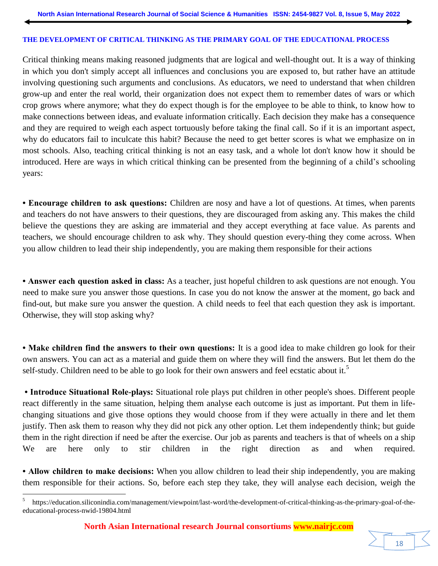#### **THE DEVELOPMENT OF CRITICAL THINKING AS THE PRIMARY GOAL OF THE EDUCATIONAL PROCESS**

Critical thinking means making reasoned judgments that are logical and well-thought out. It is a way of thinking in which you don't simply accept all influences and conclusions you are exposed to, but rather have an attitude involving questioning such arguments and conclusions. As educators, we need to understand that when children grow-up and enter the real world, their organization does not expect them to remember dates of wars or which crop grows where anymore; what they do expect though is for the employee to be able to think, to know how to make connections between ideas, and evaluate information critically. Each decision they make has a consequence and they are required to weigh each aspect tortuously before taking the final call. So if it is an important aspect, why do educators fail to inculcate this habit? Because the need to get better scores is what we emphasize on in most schools. Also, teaching critical thinking is not an easy task, and a whole lot don't know how it should be introduced. Here are ways in which critical thinking can be presented from the beginning of a child's schooling years:

**• Encourage children to ask questions:** Children are nosy and have a lot of questions. At times, when parents and teachers do not have answers to their questions, they are discouraged from asking any. This makes the child believe the questions they are asking are immaterial and they accept everything at face value. As parents and teachers, we should encourage children to ask why. They should question every-thing they come across. When you allow children to lead their ship independently, you are making them responsible for their actions

**• Answer each question asked in class:** As a teacher, just hopeful children to ask questions are not enough. You need to make sure you answer those questions. In case you do not know the answer at the moment, go back and find-out, but make sure you answer the question. A child needs to feel that each question they ask is important. Otherwise, they will stop asking why?

**• Make children find the answers to their own questions:** It is a good idea to make children go look for their own answers. You can act as a material and guide them on where they will find the answers. But let them do the self-study. Children need to be able to go look for their own answers and feel ecstatic about it.<sup>5</sup>

**• Introduce Situational Role-plays:** Situational role plays put children in other people's shoes. Different people react differently in the same situation, helping them analyse each outcome is just as important. Put them in lifechanging situations and give those options they would choose from if they were actually in there and let them justify. Then ask them to reason why they did not pick any other option. Let them independently think; but guide them in the right direction if need be after the exercise. Our job as parents and teachers is that of wheels on a ship We are here only to stir children in the right direction as and when required.

**• Allow children to make decisions:** When you allow children to lead their ship independently, you are making them responsible for their actions. So, before each step they take, they will analyse each decision, weigh the

 5 https://education.siliconindia.com/management/viewpoint/last-word/the-development-of-critical-thinking-as-the-primary-goal-of-theeducational-process-nwid-19804.html